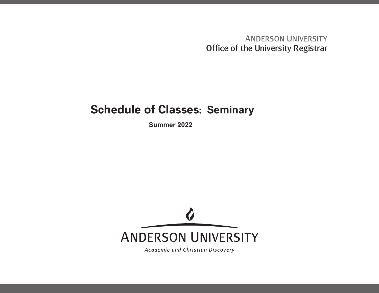**ANDERSON UNIVERSITY** Office of the University Registrar

## **Schedule of Classes: Seminary**

**Summer 2022**



Academic and Christian Discovery